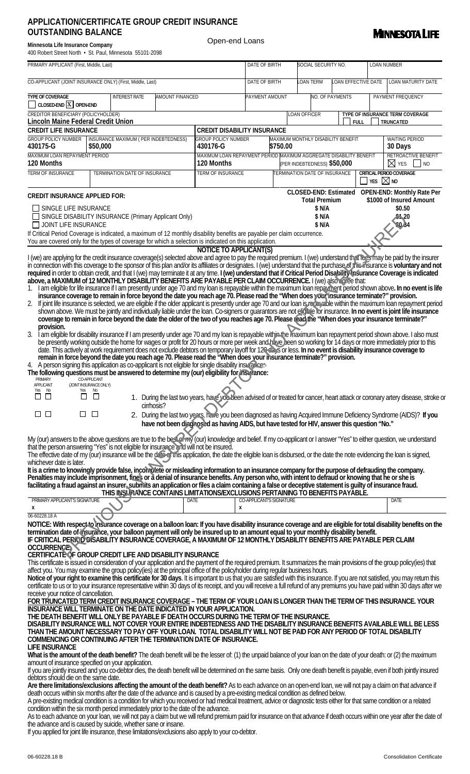## **APPLICATION/CERTIFICATE GROUP CREDIT INSURANCE OUTSTANDING BALANCE**

| Minnesota Life Insurance Company                         |  |  |  |  |  |  |  |  |  |  |  |
|----------------------------------------------------------|--|--|--|--|--|--|--|--|--|--|--|
| 400 Robert Street North • St. Paul, Minnesota 55101-2098 |  |  |  |  |  |  |  |  |  |  |  |

Open-end Loans



| PRIMARY APPLICANT (First, Middle, Last)                                                                                                                                                                                                                                                                                                                                                                                                                                                                                                                                                                                                                                                                                                                                                                                                                                                                                                                                                                                                                                                                                                                                                                                                                                                                                                                                                                                                                                        |              |                      |  |                                      |             |                                                                                                                                                                                                                   | DATE OF BIRTH                                                       |                  |                                                | SOCIAL SECURITY NO.    |                      |                          |                     |                                | <b>LOAN NUMBER</b>     |                                                                              |           |  |
|--------------------------------------------------------------------------------------------------------------------------------------------------------------------------------------------------------------------------------------------------------------------------------------------------------------------------------------------------------------------------------------------------------------------------------------------------------------------------------------------------------------------------------------------------------------------------------------------------------------------------------------------------------------------------------------------------------------------------------------------------------------------------------------------------------------------------------------------------------------------------------------------------------------------------------------------------------------------------------------------------------------------------------------------------------------------------------------------------------------------------------------------------------------------------------------------------------------------------------------------------------------------------------------------------------------------------------------------------------------------------------------------------------------------------------------------------------------------------------|--------------|----------------------|--|--------------------------------------|-------------|-------------------------------------------------------------------------------------------------------------------------------------------------------------------------------------------------------------------|---------------------------------------------------------------------|------------------|------------------------------------------------|------------------------|----------------------|--------------------------|---------------------|--------------------------------|------------------------|------------------------------------------------------------------------------|-----------|--|
| CO-APPLICANT (JOINT INSURANCE ONLY) (First, Middle, Last)                                                                                                                                                                                                                                                                                                                                                                                                                                                                                                                                                                                                                                                                                                                                                                                                                                                                                                                                                                                                                                                                                                                                                                                                                                                                                                                                                                                                                      |              |                      |  |                                      |             |                                                                                                                                                                                                                   | DATE OF BIRTH                                                       |                  |                                                | <b>LOAN TERM</b>       |                      |                          | LOAN EFFECTIVE DATE |                                |                        | LOAN MATURITY DATE                                                           |           |  |
| <b>TYPE OF COVERAGE</b><br>$\Box$ Closed-END $\overline{X}$ open-END                                                                                                                                                                                                                                                                                                                                                                                                                                                                                                                                                                                                                                                                                                                                                                                                                                                                                                                                                                                                                                                                                                                                                                                                                                                                                                                                                                                                           |              | <b>INTEREST RATE</b> |  | AMOUNT FINANCED                      |             |                                                                                                                                                                                                                   | PAYMENT AMOUNT                                                      |                  |                                                | <b>NO. OF PAYMENTS</b> |                      |                          |                     | PAYMENT FREQUENCY              |                        |                                                                              |           |  |
| CREDITOR BENEFICIARY (POLICYHOLDER)<br><b>Lincoln Maine Federal Credit Union</b>                                                                                                                                                                                                                                                                                                                                                                                                                                                                                                                                                                                                                                                                                                                                                                                                                                                                                                                                                                                                                                                                                                                                                                                                                                                                                                                                                                                               |              |                      |  |                                      |             |                                                                                                                                                                                                                   |                                                                     |                  |                                                | <b>LOAN OFFICER</b>    |                      |                          | <b>FULL</b>         |                                |                        | TYPE OF INSURANCE TERM COVERAGE<br>TRUNCATED                                 |           |  |
| <b>CREDIT LIFE INSURANCE</b>                                                                                                                                                                                                                                                                                                                                                                                                                                                                                                                                                                                                                                                                                                                                                                                                                                                                                                                                                                                                                                                                                                                                                                                                                                                                                                                                                                                                                                                   |              |                      |  |                                      |             | <b>CREDIT DISABILITY INSURANCE</b>                                                                                                                                                                                |                                                                     |                  |                                                |                        |                      |                          |                     |                                |                        |                                                                              |           |  |
| <b>GROUP POLICY NUMBER</b><br>430175-G                                                                                                                                                                                                                                                                                                                                                                                                                                                                                                                                                                                                                                                                                                                                                                                                                                                                                                                                                                                                                                                                                                                                                                                                                                                                                                                                                                                                                                         | \$50,000     |                      |  | INSURANCE MAXIMUM (PER INDEBTEDNESS) |             | <b>GROUP POLICY NUMBER</b><br>430176-G                                                                                                                                                                            |                                                                     |                  | MAXIMUM MONTHLY DISABILITY BENEFIT<br>\$750.00 |                        |                      |                          |                     |                                |                        | <b>WAITING PERIOD</b><br>30 Days                                             |           |  |
| MAXIMUM LOAN REPAYMENT PERIOD<br>120 Months                                                                                                                                                                                                                                                                                                                                                                                                                                                                                                                                                                                                                                                                                                                                                                                                                                                                                                                                                                                                                                                                                                                                                                                                                                                                                                                                                                                                                                    |              |                      |  |                                      |             | MAXIMUM LOAN REPAYMENT PERIOD MAXIMUM AGGREGATE DISABILITY BENEFIT<br>120 Months                                                                                                                                  |                                                                     |                  |                                                |                        |                      |                          |                     |                                |                        | RETROACTIVE BENEFIT<br>$\boxtimes$ yes                                       | $\Box$ NO |  |
| <b>TERM OF INSURANCE</b><br>TERMINATION DATE OF INSURANCE                                                                                                                                                                                                                                                                                                                                                                                                                                                                                                                                                                                                                                                                                                                                                                                                                                                                                                                                                                                                                                                                                                                                                                                                                                                                                                                                                                                                                      |              |                      |  | <b>TERM OF INSURANCE</b>             |             |                                                                                                                                                                                                                   | (PER INDEBTEDNESS) \$50,000<br><b>TERMINATION DATE OF INSURANCE</b> |                  |                                                |                        |                      | CRITICAL PERIOD COVERAGE |                     |                                |                        |                                                                              |           |  |
|                                                                                                                                                                                                                                                                                                                                                                                                                                                                                                                                                                                                                                                                                                                                                                                                                                                                                                                                                                                                                                                                                                                                                                                                                                                                                                                                                                                                                                                                                |              |                      |  |                                      |             |                                                                                                                                                                                                                   |                                                                     |                  |                                                |                        |                      |                          |                     |                                | $\overline{\times}$ No |                                                                              |           |  |
| <b>CREDIT INSURANCE APPLIED FOR:</b>                                                                                                                                                                                                                                                                                                                                                                                                                                                                                                                                                                                                                                                                                                                                                                                                                                                                                                                                                                                                                                                                                                                                                                                                                                                                                                                                                                                                                                           |              |                      |  |                                      |             |                                                                                                                                                                                                                   |                                                                     |                  |                                                |                        | <b>Total Premium</b> |                          |                     |                                |                        | CLOSED-END: Estimated OPEN-END: Monthly Rate Per<br>\$1000 of Insured Amount |           |  |
| $\Box$ SINGLE LIFE INSURANCE                                                                                                                                                                                                                                                                                                                                                                                                                                                                                                                                                                                                                                                                                                                                                                                                                                                                                                                                                                                                                                                                                                                                                                                                                                                                                                                                                                                                                                                   |              |                      |  |                                      |             |                                                                                                                                                                                                                   |                                                                     |                  |                                                |                        | \$ N/A               |                          |                     |                                |                        | \$0.50                                                                       |           |  |
| SINGLE DISABILITY INSURANCE (Primary Applicant Only)<br>$\Box$ JOINT LIFE INSURANCE                                                                                                                                                                                                                                                                                                                                                                                                                                                                                                                                                                                                                                                                                                                                                                                                                                                                                                                                                                                                                                                                                                                                                                                                                                                                                                                                                                                            |              |                      |  |                                      |             |                                                                                                                                                                                                                   |                                                                     | \$ N/A<br>\$ N/A |                                                |                        |                      |                          |                     | <b>\$4,20</b><br><b>\$0.34</b> |                        |                                                                              |           |  |
| If Critical Period Coverage is indicated, a maximum of 12 monthly disability benefits are payable per claim occurrence.                                                                                                                                                                                                                                                                                                                                                                                                                                                                                                                                                                                                                                                                                                                                                                                                                                                                                                                                                                                                                                                                                                                                                                                                                                                                                                                                                        |              |                      |  |                                      |             |                                                                                                                                                                                                                   |                                                                     |                  |                                                |                        |                      |                          |                     |                                |                        |                                                                              |           |  |
| You are covered only for the types of coverage for which a selection is indicated on this application.                                                                                                                                                                                                                                                                                                                                                                                                                                                                                                                                                                                                                                                                                                                                                                                                                                                                                                                                                                                                                                                                                                                                                                                                                                                                                                                                                                         |              |                      |  |                                      |             | <b>NOTICE TO APPLICANT(S)</b>                                                                                                                                                                                     |                                                                     |                  |                                                |                        |                      |                          |                     |                                |                        |                                                                              |           |  |
| I (we) are applying for the credit insurance coverage(s) selected above and agree to pay the required premium. I (we) understand that rees may be paid by the insurer<br>in connection with this coverage to the sponsor of this plan and/or its affiliates or designates. I (we) understand that the purchase of this insurance is voluntary and not<br>required in order to obtain credit, and that I (we) may terminate it at any time. I (we) understand that if Critical Period Disability Insurance Coverage is indicated<br>above, a MAXIMUM of 12 MONTHLY DISABILITY BENEFITS ARE PAYABLE PER CLAIM OCCURRENCE. I (we) also coree that:<br>1. I am eligible for life insurance if I am presently under age 70 and my loan is repayable within the maximum loan repayment period shown above. In no event is life<br>insurance coverage to remain in force beyond the date you reach age 70. Please read the "When does you hasurance terminate?" provision.<br>If joint life insurance is selected, we are eligible if the older applicant is presently under age 70 and our loan is repayable within the maximum loan repayment period<br>2.<br>shown above. We must be jointly and individually liable under the loan. Co-signers or guarantors are not eligible for insurance. In no event is joint life insurance<br>coverage to remain in force beyond the date the older of the two of you reaches age 70. Please read the "When does your insurance terminate?" |              |                      |  |                                      |             |                                                                                                                                                                                                                   |                                                                     |                  |                                                |                        |                      |                          |                     |                                |                        |                                                                              |           |  |
| provision.<br>I am eligible for disability insurance if I am presently under age 70 and my loan is repayable within the maximum loan repayment period shown above. I also must<br>3.<br>be presently working outside the home for wages or profit for 20 hours or more per week and have been so working for 14 days or more immediately prior to this<br>date. This actively at work requirement does not exclude debtors on temporary layoff for 129 days or less. In no event is disability insurance coverage to<br>remain in force beyond the date you reach age 70. Please read the "When does your insurance terminate?" provision.<br>4. A person signing this application as co-applicant is not eligible for single disability insulation.<br>The following questions must be answered to determine my (our) eligibility for insurance:<br><b>PRIMARY</b><br>(JOINT INSURANCE ONLY)<br><b>APPLICANT</b>                                                                                                                                                                                                                                                                                                                                                                                                                                                                                                                                                              | CO-APPLICANT |                      |  |                                      |             |                                                                                                                                                                                                                   |                                                                     |                  |                                                |                        |                      |                          |                     |                                |                        |                                                                              |           |  |
| No<br>Yes<br>Yes<br>$\Box$<br>П<br>П                                                                                                                                                                                                                                                                                                                                                                                                                                                                                                                                                                                                                                                                                                                                                                                                                                                                                                                                                                                                                                                                                                                                                                                                                                                                                                                                                                                                                                           | No<br>$\Box$ |                      |  |                                      |             | 1. During the last two years, have you been advised of or treated for cancer, heart attack or coronary artery disease, stroke or                                                                                  |                                                                     |                  |                                                |                        |                      |                          |                     |                                |                        |                                                                              |           |  |
| $\Box$ $\Box$<br>ப                                                                                                                                                                                                                                                                                                                                                                                                                                                                                                                                                                                                                                                                                                                                                                                                                                                                                                                                                                                                                                                                                                                                                                                                                                                                                                                                                                                                                                                             | $\Box$       |                      |  | cirrhosis?                           |             | 2. During the last two years, have you been diagnosed as having Acquired Immune Deficiency Syndrome (AIDS)? If you<br>have not been diagnosed as having AIDS, but have tested for HIV, answer this question "No." |                                                                     |                  |                                                |                        |                      |                          |                     |                                |                        |                                                                              |           |  |
| My (our) answers to the above questions are true to the bestormy (our) knowledge and belief. If my co-applicant or I answer "Yes" to either question, we understand<br>that the person answering "Yes" is not eligible for insurance and will not be insured.<br>The effective date of my (our) insurance will be the date of this application, the date the eligible loan is disbursed, or the date the note evidencing the loan is signed,<br>whichever date is later.                                                                                                                                                                                                                                                                                                                                                                                                                                                                                                                                                                                                                                                                                                                                                                                                                                                                                                                                                                                                       |              |                      |  |                                      |             |                                                                                                                                                                                                                   |                                                                     |                  |                                                |                        |                      |                          |                     |                                |                        |                                                                              |           |  |
| It is a crime to knowingly provide false, incomplete or misleading information to an insurance company for the purpose of defrauding the company.<br>Penalties may include imprisonment, fine's or a denial of insurance benefits. Any person who, with intent to defraud or knowing that he or she is<br>facilitating a fraud against an insurer, submits an application or files a claim containing a false or deceptive statement is quilty of insurance fraud.                                                                                                                                                                                                                                                                                                                                                                                                                                                                                                                                                                                                                                                                                                                                                                                                                                                                                                                                                                                                             |              |                      |  |                                      |             | THIS INSURANCE CONTAINS LIMITATIONS/EXCLUSIONS PERTAINING TO BENEFITS PAYABLE.                                                                                                                                    |                                                                     |                  |                                                |                        |                      |                          |                     |                                |                        |                                                                              |           |  |
| PRIMARY APPLICANT'S SIGNATURE                                                                                                                                                                                                                                                                                                                                                                                                                                                                                                                                                                                                                                                                                                                                                                                                                                                                                                                                                                                                                                                                                                                                                                                                                                                                                                                                                                                                                                                  |              |                      |  |                                      | <b>DATE</b> | x                                                                                                                                                                                                                 | CO-APPLICANT'S SIGNATURE                                            |                  |                                                |                        |                      |                          |                     |                                |                        | <b>DATE</b>                                                                  |           |  |
| Х<br>06-60228.18 A                                                                                                                                                                                                                                                                                                                                                                                                                                                                                                                                                                                                                                                                                                                                                                                                                                                                                                                                                                                                                                                                                                                                                                                                                                                                                                                                                                                                                                                             |              |                      |  |                                      |             |                                                                                                                                                                                                                   |                                                                     |                  |                                                |                        |                      |                          |                     |                                |                        |                                                                              |           |  |
| NOTICE: With respect to Insurance coverage on a balloon loan: If you have disability insurance coverage and are eligible for total disability benefits on the<br>termination date of insurance, your balloon payment will only be insured up to an amount equal to your monthly disability benefit.<br>IF CRITICAL PERIOD DISABILITY INSURANCE COVERAGE, A MAXIMUM OF 12 MONTHLY DISABILITY BENEFITS ARE PAYABLE PER CLAIM<br><b>OCCURRENCE</b><br>CERTIFICATE OF GROUP CREDIT LIFE AND DISABILITY INSURANCE<br>This certificate is issued in consideration of your application and the payment of the required premium. It summarizes the main provisions of the group policy(ies) that                                                                                                                                                                                                                                                                                                                                                                                                                                                                                                                                                                                                                                                                                                                                                                                       |              |                      |  |                                      |             |                                                                                                                                                                                                                   |                                                                     |                  |                                                |                        |                      |                          |                     |                                |                        |                                                                              |           |  |
| affect you. You may examine the group policy(ies) at the principal office of the policyholder during regular business hours.<br>Notice of your right to examine this certificate for 30 days. It is important to us that you are satisfied with this insurance. If you are not satisfied, you may return this<br>certificate to us or to your insurance representative within 30 days of its receipt, and you will receive a full refund of any premiums you have paid within 30 days after we<br>receive your notice of cancellation.                                                                                                                                                                                                                                                                                                                                                                                                                                                                                                                                                                                                                                                                                                                                                                                                                                                                                                                                         |              |                      |  |                                      |             |                                                                                                                                                                                                                   |                                                                     |                  |                                                |                        |                      |                          |                     |                                |                        |                                                                              |           |  |
| FOR TRUNCATED TERM CREDIT INSURANCE COVERAGE – THE TERM OF YOUR LOAN IS LONGER THAN THE TERM OF THIS INSURANCE. YOUR<br><b>INSURANCE WILL TERMINATE ON THE DATE INDICATED IN YOUR APPLICATION.</b><br>THE DEATH BENEFIT WILL ONLY BE PAYABLE IF DEATH OCCURS DURING THE TERM OF THE INSURANCE.<br>DISABILITY INSURANCE WILL NOT COVER YOUR ENTIRE INDEBTEDNESS AND THE DISABILITY INSURANCE BENEFITS AVAILABLE WILL BE LESS<br>THAN THE AMOUNT NECESSARY TO PAY OFF YOUR LOAN. TOTAL DISABILITY WILL NOT BE PAID FOR ANY PERIOD OF TOTAL DISABILITY<br>COMMENCING OR CONTINUING AFTER THE TERMINATION DATE OF INSURANCE.<br><b>LIFE INSURANCE</b>                                                                                                                                                                                                                                                                                                                                                                                                                                                                                                                                                                                                                                                                                                                                                                                                                              |              |                      |  |                                      |             |                                                                                                                                                                                                                   |                                                                     |                  |                                                |                        |                      |                          |                     |                                |                        |                                                                              |           |  |
| What is the amount of the death benefit? The death benefit will be the lesser of: (1) the unpaid balance of your loan on the date of your death: or (2) the maximum<br>amount of insurance specified on your application.                                                                                                                                                                                                                                                                                                                                                                                                                                                                                                                                                                                                                                                                                                                                                                                                                                                                                                                                                                                                                                                                                                                                                                                                                                                      |              |                      |  |                                      |             |                                                                                                                                                                                                                   |                                                                     |                  |                                                |                        |                      |                          |                     |                                |                        |                                                                              |           |  |
| If you are jointly insured and you co-debtor dies, the death benefit will be determined on the same basis. Only one death benefit is payable, even if both jointly insured<br>debtors should die on the same date.                                                                                                                                                                                                                                                                                                                                                                                                                                                                                                                                                                                                                                                                                                                                                                                                                                                                                                                                                                                                                                                                                                                                                                                                                                                             |              |                      |  |                                      |             |                                                                                                                                                                                                                   |                                                                     |                  |                                                |                        |                      |                          |                     |                                |                        |                                                                              |           |  |
| Are there limitations/exclusions affecting the amount of the death benefit? As to each advance on an open-end loan, we will not pay a claim on that advance if<br>death occurs within six months after the date of the advance and is caused by a pre-existing medical condition as defined below.<br>A pre-existing medical condition is a condition for which you received or had medical treatment, advice or diagnostic tests either for that same condition or a related<br>condition within the six month period immediately prior to the date of the advance.                                                                                                                                                                                                                                                                                                                                                                                                                                                                                                                                                                                                                                                                                                                                                                                                                                                                                                           |              |                      |  |                                      |             |                                                                                                                                                                                                                   |                                                                     |                  |                                                |                        |                      |                          |                     |                                |                        |                                                                              |           |  |

As to each advance on your loan, we will not pay a claim but we will refund premium paid for insurance on that advance if death occurs within one year after the date of the advance and is caused by suicide, whether sane or insane.

If you applied for joint life insurance, these limitations/exclusions also apply to your co-debtor.